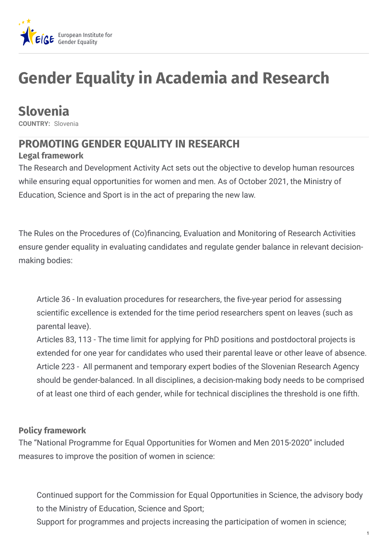

# **Gender Equality in Academia and Research**

## **Slovenia**

**COUNTRY:** Slovenia

### **PROMOTING GENDER EQUALITY IN RESEARCH**

### **Legal framework**

The Research and Development Activity Act sets out the objective to develop human resources while ensuring equal opportunities for women and men. As of October 2021, the Ministry of Education, Science and Sport is in the act of preparing the new law.

The Rules on the Procedures of (Co)financing, Evaluation and Monitoring of Research Activities ensure gender equality in evaluating candidates and regulate gender balance in relevant decisionmaking bodies:

Article 36 - In evaluation procedures for researchers, the five-year period for assessing scientific excellence is extended for the time period researchers spent on leaves (such as parental leave).

Articles 83, 113 - The time limit for applying for PhD positions and postdoctoral projects is extended for one year for candidates who used their parental leave or other leave of absence. Article 223 - All permanent and temporary expert bodies of the Slovenian Research Agency should be gender-balanced. In all disciplines, a decision-making body needs to be comprised of at least one third of each gender, while for technical disciplines the threshold is one fifth.

### **Policy framework**

The "National Programme for Equal Opportunities for Women and Men 2015-2020" included measures to improve the position of women in science:

Continued support for the Commission for Equal Opportunities in Science, the advisory body to the Ministry of Education, Science and Sport;

Support for programmes and projects increasing the participation of women in science;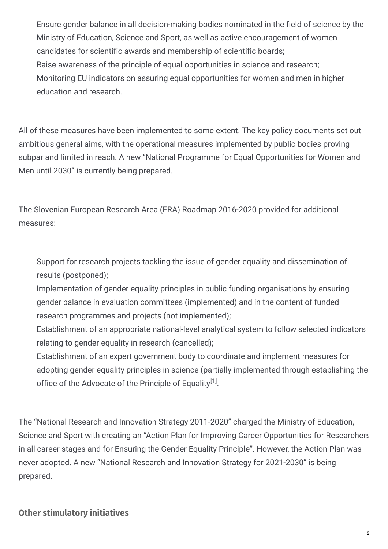Ensure gender balance in all decision-making bodies nominated in the field of science by the Ministry of Education, Science and Sport, as well as active encouragement of women candidates for scientific awards and membership of scientific boards; Raise awareness of the principle of equal opportunities in science and research; Monitoring EU indicators on assuring equal opportunities for women and men in higher education and research.

All of these measures have been implemented to some extent. The key policy documents set out ambitious general aims, with the operational measures implemented by public bodies proving subpar and limited in reach. A new "National Programme for Equal Opportunities for Women and Men until 2030" is currently being prepared.

The Slovenian European Research Area (ERA) Roadmap 2016-2020 provided for additional measures:

Support for research projects tackling the issue of gender equality and dissemination of results (postponed);

- Implementation of gender equality principles in public funding organisations by ensuring gender balance in evaluation committees (implemented) and in the content of funded research programmes and projects (not implemented);
- Establishment of an appropriate national-level analytical system to follow selected indicators relating to gender equality in research (cancelled);
- Establishment of an expert government body to coordinate and implement measures for adopting gender equality principles in science (partially implemented through establishing the office of the Advocate of the Principle of Equality<sup>[1]</sup>.

The "National Research and Innovation Strategy 2011-2020" charged the Ministry of Education, Science and Sport with creating an "Action Plan for Improving Career Opportunities for Researchers in all career stages and for Ensuring the Gender Equality Principle". However, the Action Plan was never adopted. A new "National Research and Innovation Strategy for 2021-2030" is being prepared.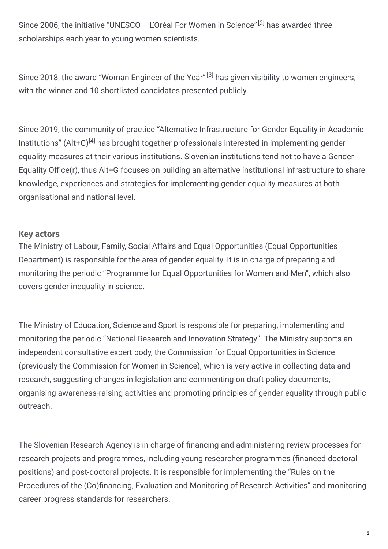Since 2006, the initiative "UNESCO - L'Oréal For Women in Science"<sup>[2]</sup> has awarded three scholarships each year to young women scientists.

Since 2018, the award "Woman Engineer of the Year" <sup>[3]</sup> has given visibility to women engineers, with the winner and 10 shortlisted candidates presented publicly.

Since 2019, the community of practice "Alternative Infrastructure for Gender Equality in Academic Institutions" (Alt+G)<sup>[4]</sup> has brought together professionals interested in implementing gender equality measures at their various institutions. Slovenian institutions tend not to have a Gender Equality Office(r), thus Alt+G focuses on building an alternative institutional infrastructure to share knowledge, experiences and strategies for implementing gender equality measures at both organisational and national level.

#### **Key actors**

The Ministry of Labour, Family, Social Affairs and Equal Opportunities (Equal Opportunities Department) is responsible for the area of gender equality. It is in charge of preparing and monitoring the periodic "Programme for Equal Opportunities for Women and Men", which also covers gender inequality in science.

The Ministry of Education, Science and Sport is responsible for preparing, implementing and monitoring the periodic "National Research and Innovation Strategy". The Ministry supports an independent consultative expert body, the Commission for Equal Opportunities in Science (previously the Commission for Women in Science), which is very active in collecting data and research, suggesting changes in legislation and commenting on draft policy documents, organising awareness-raising activities and promoting principles of gender equality through public outreach.

The Slovenian Research Agency is in charge of financing and administering review processes for research projects and programmes, including young researcher programmes (financed doctoral positions) and post-doctoral projects. It is responsible for implementing the "Rules on the Procedures of the (Co)financing, Evaluation and Monitoring of Research Activities" and monitoring career progress standards for researchers.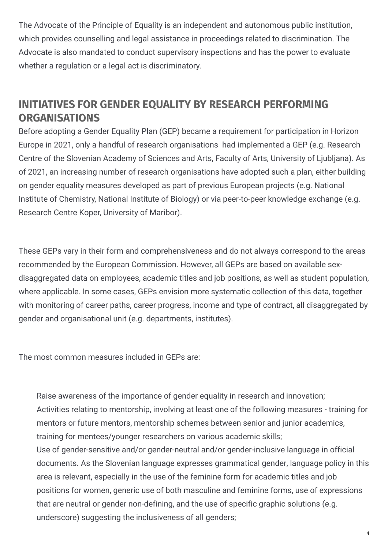The Advocate of the Principle of Equality is an independent and autonomous public institution, which provides counselling and legal assistance in proceedings related to discrimination. The Advocate is also mandated to conduct supervisory inspections and has the power to evaluate whether a regulation or a legal act is discriminatory.

### **INITIATIVES FOR GENDER EQUALITY BY RESEARCH PERFORMING ORGANISATIONS**

Before adopting a Gender Equality Plan (GEP) became a requirement for participation in Horizon Europe in 2021, only a handful of research organisations had implemented a GEP (e.g. Research Centre of the Slovenian Academy of Sciences and Arts, Faculty of Arts, University of Ljubljana). As of 2021, an increasing number of research organisations have adopted such a plan, either building on gender equality measures developed as part of previous European projects (e.g. National Institute of Chemistry, National Institute of Biology) or via peer-to-peer knowledge exchange (e.g. Research Centre Koper, University of Maribor).

These GEPs vary in their form and comprehensiveness and do not always correspond to the areas recommended by the European Commission. However, all GEPs are based on available sexdisaggregated data on employees, academic titles and job positions, as well as student population, where applicable. In some cases, GEPs envision more systematic collection of this data, together with monitoring of career paths, career progress, income and type of contract, all disaggregated by gender and organisational unit (e.g. departments, institutes).

The most common measures included in GEPs are:

Raise awareness of the importance of gender equality in research and innovation; Activities relating to mentorship, involving at least one of the following measures - training for mentors or future mentors, mentorship schemes between senior and junior academics, training for mentees/younger researchers on various academic skills; Use of gender-sensitive and/or gender-neutral and/or gender-inclusive language in official documents. As the Slovenian language expresses grammatical gender, language policy in this area is relevant, especially in the use of the feminine form for academic titles and job positions for women, generic use of both masculine and feminine forms, use of expressions that are neutral or gender non-defining, and the use of specific graphic solutions (e.g. underscore) suggesting the inclusiveness of all genders;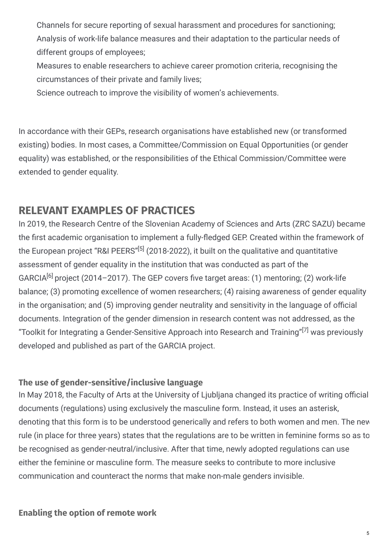Channels for secure reporting of sexual harassment and procedures for sanctioning; Analysis of work-life balance measures and their adaptation to the particular needs of different groups of employees;

Measures to enable researchers to achieve career promotion criteria, recognising the circumstances of their private and family lives;

Science outreach to improve the visibility of women's achievements.

In accordance with their GEPs, research organisations have established new (or transformed existing) bodies. In most cases, a Committee/Commission on Equal Opportunities (or gender equality) was established, or the responsibilities of the Ethical Commission/Committee were extended to gender equality.

### **RELEVANT EXAMPLES OF PRACTICES**

In 2019, the Research Centre of the Slovenian Academy of Sciences and Arts (ZRC SAZU) became the first academic organisation to implement a fully-fledged GEP. Created within the framework of the European project "R&I PEERS"<sup>[5]</sup> (2018-2022), it built on the qualitative and quantitative assessment of gender equality in the institution that was conducted as part of the GARCIA<sup>[6]</sup> project (2014–2017). The GEP covers five target areas: (1) mentoring; (2) work-life balance; (3) promoting excellence of women researchers; (4) raising awareness of gender equality in the organisation; and (5) improving gender neutrality and sensitivity in the language of official documents. Integration of the gender dimension in research content was not addressed, as the "Toolkit for Integrating a Gender-Sensitive Approach into Research and Training" $^{[7]}$  was previously developed and published as part of the GARCIA project.

### **The use of gender-sensitive/inclusive language**

In May 2018, the Faculty of Arts at the University of Ljubljana changed its practice of writing official documents (regulations) using exclusively the masculine form. Instead, it uses an asterisk, denoting that this form is to be understood generically and refers to both women and men. The new rule (in place for three years) states that the regulations are to be written in feminine forms so as to be recognised as gender-neutral/inclusive. After that time, newly adopted regulations can use either the feminine or masculine form. The measure seeks to contribute to more inclusive communication and counteract the norms that make non-male genders invisible.

#### **Enabling the option of remote work**